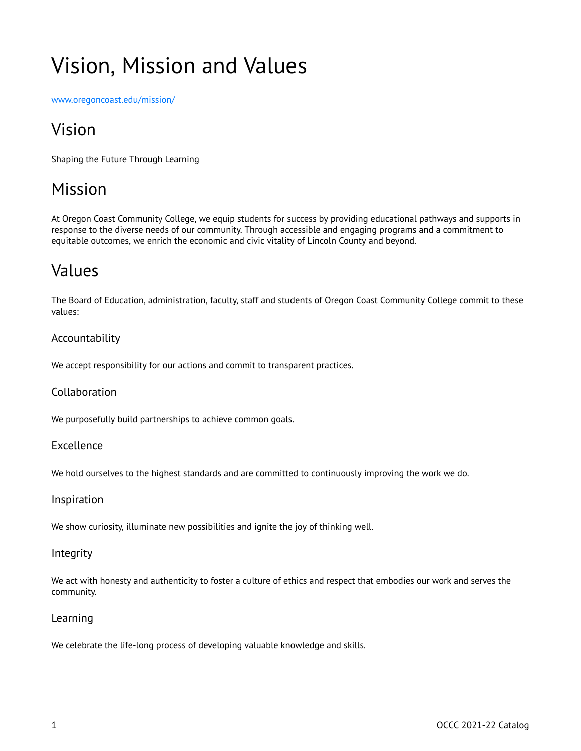# Vision, Mission and Values

[www.oregoncoast.edu/mission/](http://www.oregoncoastcc.org/mission/)

# Vision

Shaping the Future Through Learning

# Mission

At Oregon Coast Community College, we equip students for success by providing educational pathways and supports in response to the diverse needs of our community. Through accessible and engaging programs and a commitment to equitable outcomes, we enrich the economic and civic vitality of Lincoln County and beyond.

# Values

The Board of Education, administration, faculty, staff and students of Oregon Coast Community College commit to these values:

### Accountability

We accept responsibility for our actions and commit to transparent practices.

#### Collaboration

We purposefully build partnerships to achieve common goals.

#### Excellence

We hold ourselves to the highest standards and are committed to continuously improving the work we do.

#### Inspiration

We show curiosity, illuminate new possibilities and ignite the joy of thinking well.

#### **Integrity**

We act with honesty and authenticity to foster a culture of ethics and respect that embodies our work and serves the community.

#### Learning

We celebrate the life-long process of developing valuable knowledge and skills.